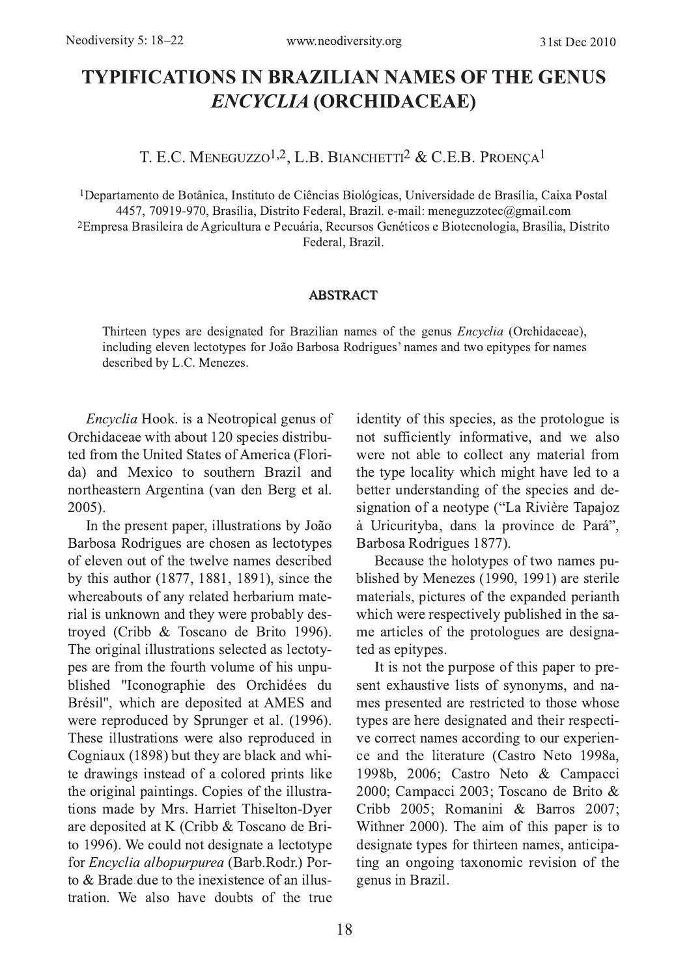# **TYPIFICATIONS IN BRAZILIAN NAMES OF THE GENUS ENCYCLIA (ORCHIDACEAE)**

T. E.C. MENEGUZZO<sup>1,2</sup>, L.B. BIANCHETTI<sup>2</sup> & C.E.B. PROENCA<sup>1</sup>

<sup>1</sup>Departamento de Botânica, Instituto de Ciências Biológicas, Universidade de Brasília, Caixa Postal 4457, 70919-970, Brasília, Distrito Federal, Brazil. e-mail: meneguzzotec@gmail.com <sup>2</sup>Empresa Brasileira de Agricultura e Pecuária, Recursos Genéticos e Biotecnologia, Brasília, Distrito Federal, Brazil.

#### **ABSTRACT**

Thirteen types are designated for Brazilian names of the genus *Encyclia* (Orchidaceae), including eleven lectotypes for João Barbosa Rodrigues' names and two epitypes for names described by L.C. Menezes.

Encyclia Hook. is a Neotropical genus of Orchidaceae with about 120 species distributed from the United States of America (Florida) and Mexico to southern Brazil and northeastern Argentina (van den Berg et al. 2005).

In the present paper, illustrations by João Barbosa Rodrigues are chosen as lectotypes of eleven out of the twelve names described by this author (1877, 1881, 1891), since the whereabouts of any related herbarium material is unknown and they were probably destroyed (Cribb & Toscano de Brito 1996). The original illustrations selected as lectotypes are from the fourth volume of his unpublished "Iconographie des Orchidées du Brésil", which are deposited at AMES and were reproduced by Sprunger et al. (1996). These illustrations were also reproduced in Cogniaux (1898) but they are black and white drawings instead of a colored prints like the original paintings. Copies of the illustrations made by Mrs. Harriet Thiselton-Dyer are deposited at K (Cribb & Toscano de Brito 1996). We could not designate a lectotype for Encyclia albopurpurea (Barb.Rodr.) Porto & Brade due to the inexistence of an illustration. We also have doubts of the true

identity of this species, as the protologue is not sufficiently informative, and we also were not able to collect any material from the type locality which might have led to a better understanding of the species and designation of a neotype ("La Rivière Tapajoz à Uricurityba, dans la province de Pará", Barbosa Rodrigues 1877).

Because the holotypes of two names published by Menezes (1990, 1991) are sterile materials, pictures of the expanded perianth which were respectively published in the same articles of the protologues are designated as epitypes.

It is not the purpose of this paper to present exhaustive lists of synonyms, and names presented are restricted to those whose types are here designated and their respective correct names according to our experience and the literature (Castro Neto 1998a, 1998b, 2006; Castro Neto & Campacci 2000; Campacci 2003; Toscano de Brito & Cribb 2005: Romanini & Barros 2007: Withner 2000). The aim of this paper is to designate types for thirteen names, anticipating an ongoing taxonomic revision of the genus in Brazil.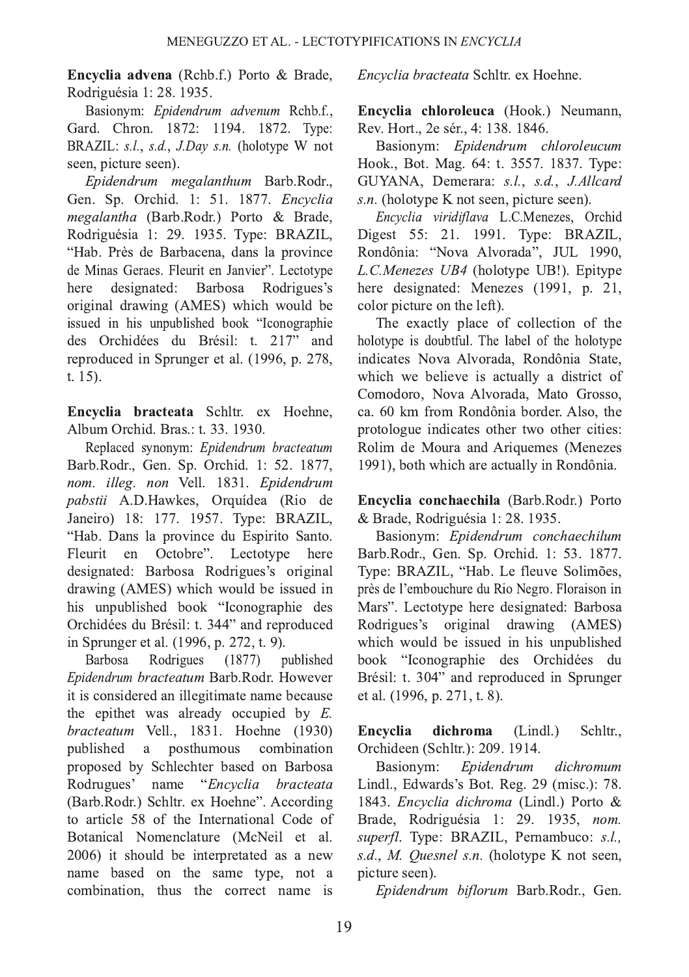**Encyclia advena** (Rchb.f.) Porto & Brade, Rodriguésia 1: 28. 1935.

Basionym: Epidendrum advenum Rchb.f., Gard. Chron. 1872: 1194. 1872. Type: BRAZIL:  $s.l., s.d., J. Dav s.n.$  (holotype W not seen, picture seen).

Epidendrum megalanthum Barb.Rodr., Gen. Sp. Orchid. 1: 51. 1877. Encyclia m*egalantha* (Barb.Rodr.) Porto & Brade, Rodriguésia 1: 29. 1935. Type: BRAZIL, "Hab. Près de Barbacena, dans la province de Minas Geraes. Fleurit en Janvier". Lectotype<br>here designated: Barbosa Rodrigues's here designated: original drawing (AMES) which would be issued in his unpublished book "Iconographie des Orchidées du Brésil: t. 217" and reproduced in Sprunger et al. (1996, p. 278,  $t. 15$ ).

Encyclia bracteata Schltr. ex Hoehne, Album Orchid. Bras.: t. 33, 1930.

Replaced synonym: Epidendrum bracteatum Barb.Rodr., Gen. Sp. Orchid. 1: 52. 1877, nom. illeg. non Vell. 1831. Epidendrum pabstii A.D.Hawkes, Orquídea (Rio de Janeiro) 18: 177. 1957. Type: BRAZIL, "Hab. Dans la province du Espirito Santo. Fleurit en Octobre". Lectotype here designated: Barbosa Rodrigues's original drawing (AMES) which would be issued in his unpublished book "Iconographie des Orchidées du Brésil: t. 344" and reproduced in Sprunger et al. (1996, p. 272, t. 9).

Barbosa Rodrigues (1877) published Epidendrum bracteatum Barb.Rodr. However it is considered an illegitimate name because the epithet was already occupied by  $E$ .  $bracteatum$  Vell., 1831. Hoehne (1930) published a posthumous combination published a proposed by Schlechter based on Barbosa Rodrugues' name "Encyclia bracteata" (Barb.Rodr.) Schltr. ex Hoehne". According to article 58 of the International Code of Botanical Nomenclature (McNeil et al. 2006) it should be interpretated as a new name based on the same type, not a combination, thus the correct name is Encyclia bracteata Schltr. ex Hoehne.

Encyclia chloroleuca (Hook.) Neumann, Rev. Hort., 2e sér., 4: 138. 1846.

Basionym: Epidendrum chloroleucum Hook., Bot. Mag. 64: t. 3557. 1837. Type: GUYANA, Demerara: s.l., s.d., J.Allcard  $s.n.$  (holotype K not seen, picture seen).

Encyclia viridiflava L.C.Menezes, Orchid Digest 55: 21. 1991. Type: BRAZIL, Rondônia: "Nova Alvorada", JUL 1990, L.C.Menezes UB4 (holotype UB!). Epitype here designated: Menezes (1991, p. 21, color picture on the left).

The exactly place of collection of the holotype is doubtful. The label of the holotype indicates Nova Alvorada, Rondônia State, which we believe is actually a district of Comodoro, Nova Alvorada, Mato Grosso, ca. 60 km from Rondônia border. Also, the protologue indicates other two other cities: Rolim de Moura and Ariquemes (Menezes 1991), both which are actually in Rondônia.

Encyclia conchaechila (Barb.Rodr.) Porto & Brade, Rodriguésia 1: 28. 1935.

Basionym: Epidendrum conchaechilum Barb.Rodr., Gen. Sp. Orchid. 1: 53. 1877. Type: BRAZIL, "Hab. Le fleuve Solimões, près de l'embouchure du Rio Negro. Floraison in Mars". Lectotype here designated: Barbosa Rodrigues's original drawing (AMES) which would be issued in his unpublished book "Iconographie des Orchidées du Brésil: t. 304" and reproduced in Sprunger et al. (1996, p. 271, t. 8).

Encyclia dichroma (Lindl.) Schltr., Orchideen (Schltr.): 209. 1914.

Basionym: Epidendrum dichromum Lindl., Edwards's Bot. Reg. 29 (misc.): 78. 1843. Encyclia dichroma (Lindl.) Porto & Brade, Rodriguésia 1: 29. 1935, nom. superfl. Type: BRAZIL, Pernambuco: s.l.,  $s.d., M.$  *Ouesnel s.n.* (holotype K not seen, nicture seen).

Epidendrum biflorum Barb.Rodr., Gen.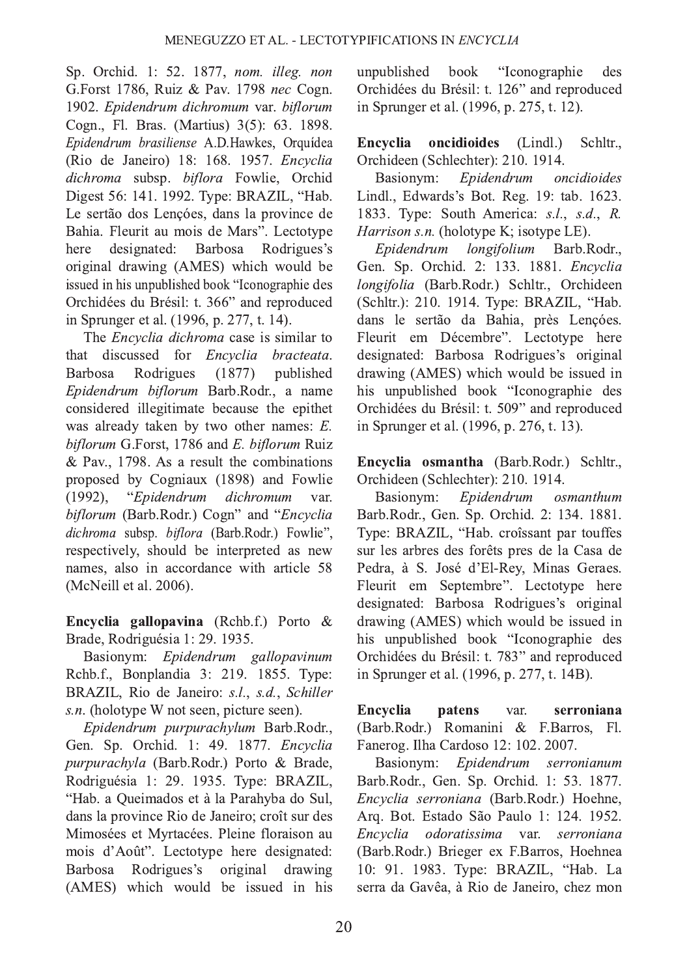Sp. Orchid. 1: 52. 1877, nom. illeg. non G.Forst 1786, Ruiz & Pav. 1798 nec Cogn. 1902. Epidendrum dichromum var. biflorum Cogn., Fl. Bras. (Martius) 3(5): 63. 1898. Epidendrum brasiliense A.D.Hawkes, Orquídea (Rio de Janeiro) 18: 168. 1957. *Encyclia* dichroma subsp. biflora Fowlie, Orchid Digest 56: 141. 1992. Type: BRAZIL, "Hab. Le sertão dos Lencóes, dans la province de Bahia. Fleurit au mois de Mars". Lectotype<br>here designated: Barbosa Rodrigues's designated: original drawing (AMES) which would be issued in his unpublished book "Iconographie des Orchidées du Brésil: t. 366" and reproduced in Sprunger et al. (1996, p. 277, t. 14).

The *Encyclia dichroma* case is similar to<br>tt discussed for *Encyclia bracteata*. that discussed for *Encyclia bracteata*.<br>Barbosa Rodrigues (1877) published Rodrigues Epidendrum biflorum Barb.Rodr., a name considered illegitimate because the epithet was already taken by two other names:  $E$ . biflorum G.Forst, 1786 and E. biflorum Ruiz & Pav., 1798. As a result the combinations proposed by Cogniaux (1898) and Fowlie (1992). "*Enidendrum dichromum* var.  $(1992)$ . "Enidendrum dichromum var. biflorum (Barb.Rodr.) Cogn" and "Encyclia dichroma subsp. biflora (Barb.Rodr.) Fowlie", respectively, should be interpreted as new names, also in accordance with article 58 (McNeill et al. 2006).

**Encyclia gallopavina** (Rchb.f.) Porto  $\&$ Brade, Rodriguésia 1: 29. 1935.

Basionym: Epidendrum gallopavinum Rchb.f., Bonplandia 3: 219. 1855. Type: BRAZIL, Rio de Janeiro: s.l., s.d., Schiller  $s.n.$  (holotype W not seen, picture seen).

Epidendrum purpurachylum Barb.Rodr., Gen. Sp. Orchid. 1: 49. 1877. Encyclia purpurachyla (Barb.Rodr.) Porto & Brade, Rodriguésia 1: 29. 1935. Type: BRAZIL, "Hab. a Queimados et à la Parahyba do Sul, dans la province Rio de Janeiro; croît sur des Mimosées et Myrtacées. Pleine floraison au mois d'Août". Lectotype here designated: Barbosa Rodrigues's original drawing (AMES) which would be issued in his unpublished book "Iconographie des Orchidées du Brésil: t. 126" and reproduced in Sprunger et al. (1996, p. 275, t. 12).

Encyclia oncidioides (Lindl.) Schltr., Orchideen (Schlechter): 210. 1914.

Basionym: Epidendrum oncidioides Lindl., Edwards's Bot. Reg. 19: tab. 1623. 1833. Type: South America:  $s.l. s.d. R$ . *Harrison s.n.* (holotype K; isotype LE).<br>Epidendrum longifolium Barb.Rodr..

Epidendrum Gen. Sp. Orchid. 2: 133. 1881. *Encyclia* longifolia (Barb.Rodr.) Schltr., Orchideen (Schltr.): 210. 1914. Type: BRAZIL, "Hab. dans le sertão da Bahia, près Lenções. Fleurit em Décembre". Lectotype here designated: Barbosa Rodrigues's original drawing (AMES) which would be issued in his unpublished book "Iconographie des Orchidées du Brésil: t. 509" and reproduced in Sprunger et al. (1996, p. 276, t. 13).

Encyclia osmantha (Barb.Rodr.) Schltr., Orchideen (Schlechter): 210. 1914.

Basionym: Epidendrum osmanthum Barb.Rodr., Gen. Sp. Orchid. 2: 134. 1881. Type: BRAZIL, "Hab. croîssant par touffes sur les arbres des forêts pres de la Casa de Pedra, à S. José d'El-Rey, Minas Geraes. Fleurit em Septembre". Lectotype here designated: Barbosa Rodrigues's original drawing (AMES) which would be issued in his unpublished book "Iconographie des Orchidées du Brésil: t. 783" and reproduced in Sprunger et al. (1996, p. 277, t. 14B).

Encyclia patens var. serroniana (Barb.Rodr.) Romanini & F.Barros, Fl. Fanerog. Ilha Cardoso 12: 102. 2007.

Basionym: Epidendrum serronianum Barb.Rodr., Gen. Sp. Orchid. 1: 53. 1877. Encyclia serroniana (Barb.Rodr.) Hoehne, Arq. Bot. Estado São Paulo 1: 124. 1952 . Encyclia odoratissima var. serroniana (Barb.Rodr.) Brieger ex F.Barros, Hoehnea 10: 91. 1983. Type: BRAZIL, "Hab. La serra da Gavêa, à Rio de Janeiro, chez mon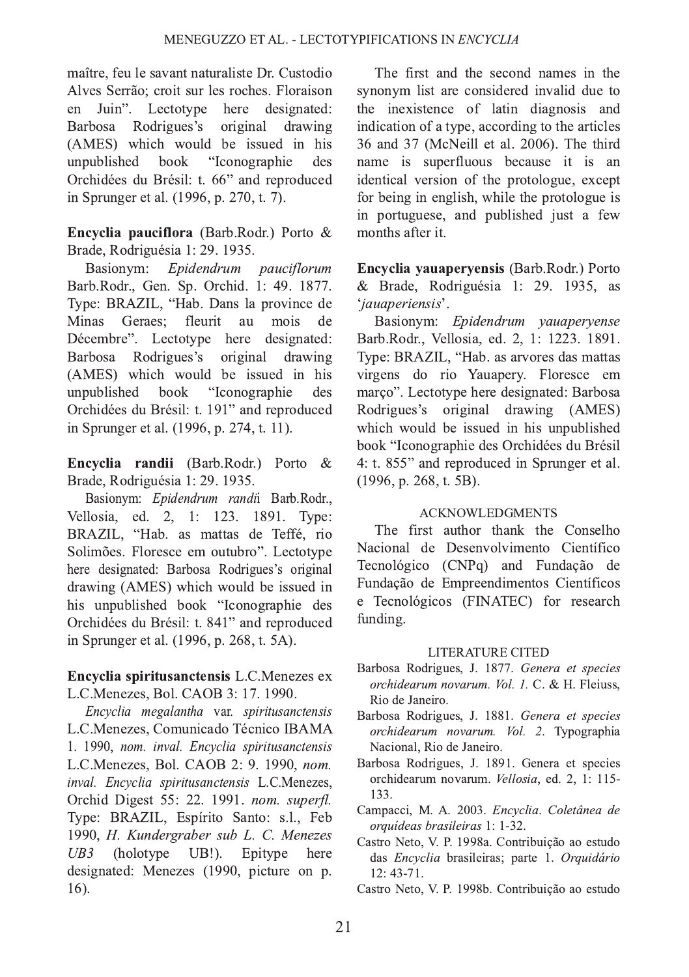maître, feu le savant naturaliste Dr. Custodio Alves Serrão; croit sur les roches. Floraison<br>en Juin". Lectotype here designated: en Juin". Lectotype here designated:<br>Barbosa Rodrigues's original drawing Barbosa Rodrigues's (AMES) which would be issued in his unpublished book "Iconographie des "Iconographie des Orchidées du Brésil: t. 66" and reproduced in Sprunger et al. (1996, p. 270, t. 7).

**Encyclia pauciflora** (Barb.Rodr.) Porto  $\&$ Brade, Rodriguésia 1: 29. 1935.

Basionym: Epidendrum pauciflorum Barb.Rodr., Gen. Sp. Orchid. 1: 49. 1877. Type: BRAZIL, "Hab. Dans la province de<br>Minas Geraes: fleurit au mois de Minas Geraes: Décembre". Lectotype here designated: Barbosa Rodrigues's original drawing (AMES) which would be issued in his unpublished book "Iconographie des "Iconographie des Orchidées du Brésil: t. 191" and reproduced in Sprunger et al. (1996, p. 274, t. 11).

**Encyclia randii** (Barb.Rodr.) Porto & Brade, Rodriguésia 1: 29. 1935.

Basionym: Epidendrum randii Barb.Rodr., Vellosia, ed. 2, 1: 123. 1891. Type: BRAZIL, "Hab. as mattas de Teffé, rio Solimões. Floresce em outubro". Lectotype here designated: Barbosa Rodrigues's original drawing (AMES) which would be issued in his unpublished book "Iconographie des Orchidées du Brésil: t. 841" and reproduced in Sprunger et al. (1996, p. 268, t. 5A).

Encyclia spiritusanctensis L.C.Menezes ex L.C.Menezes, Bol. CAOB 3: 17. 1990.

Encyclia megalantha var. spiritusanctensis L.C.Menezes, Comunicado Técnico IBAMA 1. 1990, nom. inval. Encyclia spiritusanctensis L.C.Menezes, Bol. CAOB 2: 9. 1990, nom. inval. Encyclia spiritusanctensis L.C.Menezes, Orchid Digest 55: 22. 1991. nom. superfl. Type: BRAZIL, Espírito Santo: s.l., Feb 1990, H. Kundergraber sub L. C. Menezes  $UB3$  (holotype UB!). Epitype here designated: Menezes (1990, picture on p. 16).

The first and the second names in the synonym list are considered invalid due to the inexistence of latin diagnosis and indication of a type, according to the articles  $36$  and  $37$  (McNeill et al.  $2006$ ). The third name is superfluous because it is an identical version of the protologue, except for being in english, while the protologue is in portuguese, and published just a few months after it

Encyclia vauapervensis (Barb.Rodr.) Porto & Brade, Rodriguésia 1: 29. 1935, as 'jauaperiensis'.

Basionym: Epidendrum yauaperyense Barb.Rodr., Vellosia, ed. 2, 1: 1223. 1891. Type: BRAZIL, "Hab. as arvores das mattas virgens do rio Yauapery. Floresce em março". Lectotype here designated: Barbosa Rodrigues's original drawing (AMES) which would be issued in his unpublished book "Iconographie des Orchidées du Brésil 4: t.  $855$ " and reproduced in Sprunger et al. (1996, p. 268, t. 5B).

### ACKNOWLEDGMENTS

The first author thank the Conselho Nacional de Desenvolvimento Científico Tecnológico (CNPq) and Fundação de Fundação de Empreendimentos Científicos e Tecnológicos (FINATEC) for research funding.

#### **LITERATURE CITED**

- Barbosa Rodrigues, J. 1877. Genera et species orchidearum novarum. Vol. 1. C. & H. Fleiuss, Rio de Janeiro.
- Barbosa Rodrigues, J. 1881. Genera et species orchidearum novarum. Vol. 2. Typographia Nacional, Rio de Janeiro.
- Barbosa Rodrigues, J. 1891. Genera et species orchidearum novarum. Vellosia, ed. 2, 1: 115-133.
- Campacci, M. A. 2003. Encyclia. Coletânea de orquídeas brasileiras 1: 1-32. .
- Castro Neto, V. P. 1998a. Contribuição ao estudo das Encyclia brasileiras; parte 1. Orquidário  $12:43-71$
- Castro Neto, V. P. 1998b. Contribuição ao estudo